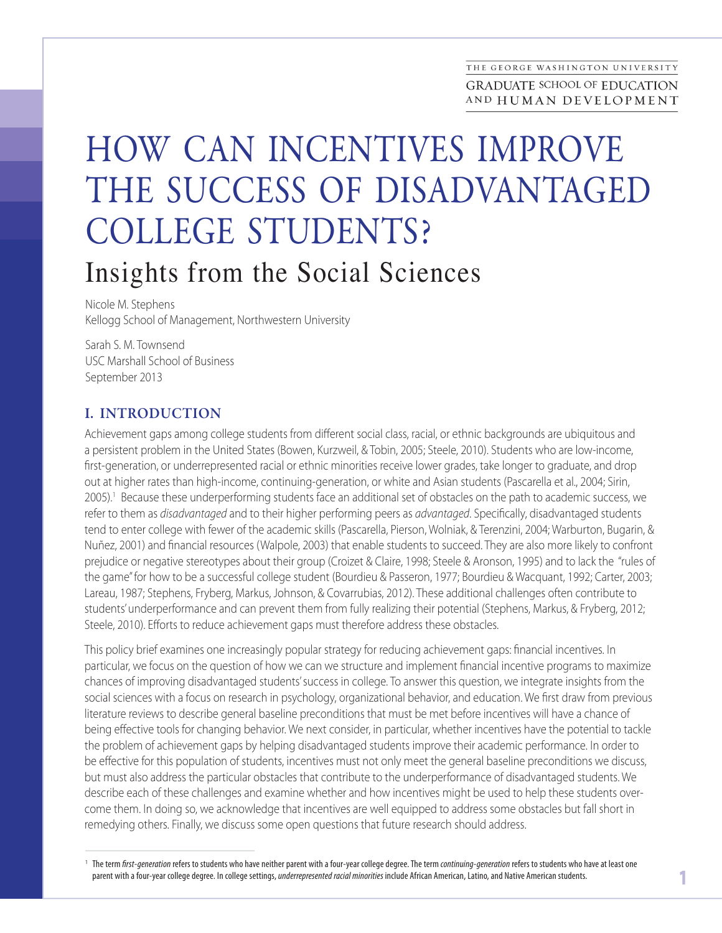# HOW CAN INCENTIVES IMPROVE THE SUCCESS OF DISADVANTAGED COLLEGE STUDENTS? Insights from the Social Sciences

Nicole M. Stephens Kellogg School of Management, Northwestern University

Sarah S. M. Townsend USC Marshall School of Business September 2013

## I. INTRODUCTION

Achievement gaps among college students from different social class, racial, or ethnic backgrounds are ubiquitous and a persistent problem in the United States (Bowen, Kurzweil, & Tobin, 2005; Steele, 2010). Students who are low-income, first-generation, or underrepresented racial or ethnic minorities receive lower grades, take longer to graduate, and drop out at higher rates than high-income, continuing-generation, or white and Asian students (Pascarella et al., 2004; Sirin, 2005).<sup>1</sup> Because these underperforming students face an additional set of obstacles on the path to academic success, we refer to them as *disadvantaged* and to their higher performing peers as *advantaged*. Specifically, disadvantaged students tend to enter college with fewer of the academic skills (Pascarella, Pierson, Wolniak, & Terenzini, 2004; Warburton, Bugarin, & Nuñez, 2001) and financial resources (Walpole, 2003) that enable students to succeed. They are also more likely to confront prejudice or negative stereotypes about their group (Croizet & Claire, 1998; Steele & Aronson, 1995) and to lack the "rules of the game" for how to be a successful college student (Bourdieu & Passeron, 1977; Bourdieu & Wacquant, 1992; Carter, 2003; Lareau, 1987; Stephens, Fryberg, Markus, Johnson, & Covarrubias, 2012). These additional challenges often contribute to students' underperformance and can prevent them from fully realizing their potential (Stephens, Markus, & Fryberg, 2012; Steele, 2010). Efforts to reduce achievement gaps must therefore address these obstacles.

This policy brief examines one increasingly popular strategy for reducing achievement gaps: financial incentives. In particular, we focus on the question of how we can we structure and implement financial incentive programs to maximize chances of improving disadvantaged students' success in college. To answer this question, we integrate insights from the social sciences with a focus on research in psychology, organizational behavior, and education. We first draw from previous literature reviews to describe general baseline preconditions that must be met before incentives will have a chance of being effective tools for changing behavior. We next consider, in particular, whether incentives have the potential to tackle the problem of achievement gaps by helping disadvantaged students improve their academic performance. In order to be effective for this population of students, incentives must not only meet the general baseline preconditions we discuss, but must also address the particular obstacles that contribute to the underperformance of disadvantaged students. We describe each of these challenges and examine whether and how incentives might be used to help these students overcome them. In doing so, we acknowledge that incentives are well equipped to address some obstacles but fall short in remedying others. Finally, we discuss some open questions that future research should address.

<sup>&</sup>lt;sup>1</sup> The term *first-generation* refers to students who have neither parent with a four-year college degree. The term *continuing-generation r*efers to students who have at least one parent with a four-year college degree. parent with a four-year college degree. In college settings, *underrepresented racial minorities* include African American, Latino, and Native American students.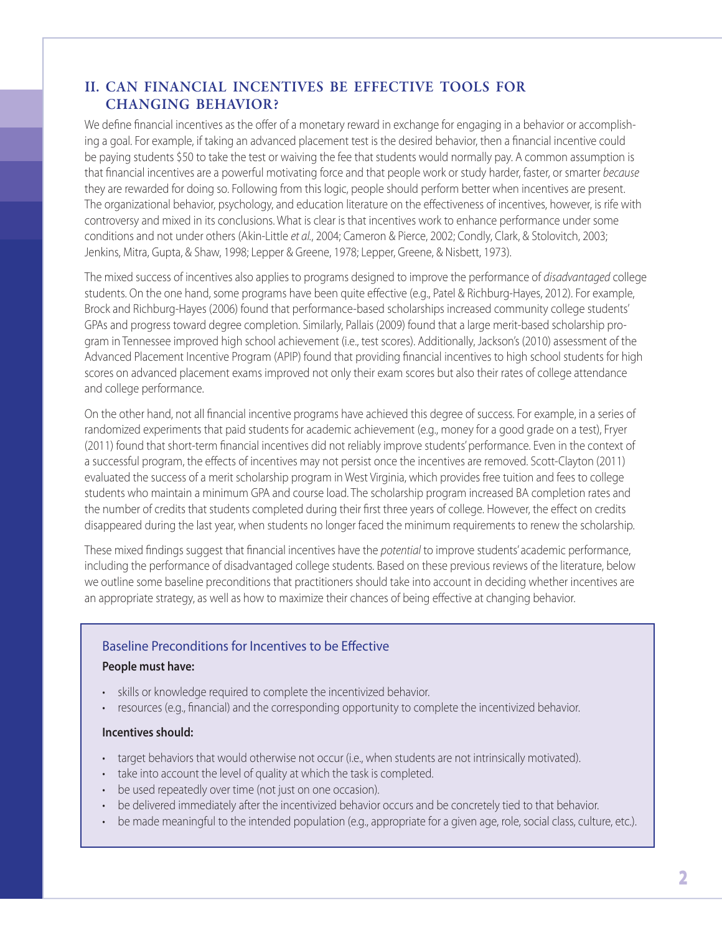## II. CAN FINANCIAL INCENTIVES BE EFFECTIVE TOOLS FOR CHANGING BEHAVIOR?

We define financial incentives as the offer of a monetary reward in exchange for engaging in a behavior or accomplishing a goal. For example, if taking an advanced placement test is the desired behavior, then a financial incentive could be paying students \$50 to take the test or waiving the fee that students would normally pay. A common assumption is that financial incentives are a powerful motivating force and that people work or study harder, faster, or smarter *because* they are rewarded for doing so. Following from this logic, people should perform better when incentives are present. The organizational behavior, psychology, and education literature on the effectiveness of incentives, however, is rife with controversy and mixed in its conclusions. What is clear is that incentives work to enhance performance under some conditions and not under others (Akin-Little *et al.*, 2004; Cameron & Pierce, 2002; Condly, Clark, & Stolovitch, 2003; Jenkins, Mitra, Gupta, & Shaw, 1998; Lepper & Greene, 1978; Lepper, Greene, & Nisbett, 1973).

The mixed success of incentives also applies to programs designed to improve the performance of *disadvantaged* college students. On the one hand, some programs have been quite effective (e.g., Patel & Richburg-Hayes, 2012). For example, Brock and Richburg-Hayes (2006) found that performance-based scholarships increased community college students' GPAs and progress toward degree completion. Similarly, Pallais (2009) found that a large merit-based scholarship program in Tennessee improved high school achievement (i.e., test scores). Additionally, Jackson's (2010) assessment of the Advanced Placement Incentive Program (APIP) found that providing financial incentives to high school students for high scores on advanced placement exams improved not only their exam scores but also their rates of college attendance and college performance.

On the other hand, not all financial incentive programs have achieved this degree of success. For example, in a series of randomized experiments that paid students for academic achievement (e.g., money for a good grade on a test), Fryer (2011) found that short-term financial incentives did not reliably improve students' performance. Even in the context of a successful program, the effects of incentives may not persist once the incentives are removed. Scott-Clayton (2011) evaluated the success of a merit scholarship program in West Virginia, which provides free tuition and fees to college students who maintain a minimum GPA and course load. The scholarship program increased BA completion rates and the number of credits that students completed during their first three years of college. However, the effect on credits disappeared during the last year, when students no longer faced the minimum requirements to renew the scholarship.

These mixed findings suggest that financial incentives have the *potential* to improve students' academic performance, including the performance of disadvantaged college students. Based on these previous reviews of the literature, below we outline some baseline preconditions that practitioners should take into account in deciding whether incentives are an appropriate strategy, as well as how to maximize their chances of being effective at changing behavior.

## Baseline Preconditions for Incentives to be Effective

#### **People must have:**

- skills or knowledge required to complete the incentivized behavior.
- resources (e.g., financial) and the corresponding opportunity to complete the incentivized behavior.

#### **Incentives should:**

- target behaviors that would otherwise not occur (i.e., when students are not intrinsically motivated).
- take into account the level of quality at which the task is completed.
- be used repeatedly over time (not just on one occasion).
- be delivered immediately after the incentivized behavior occurs and be concretely tied to that behavior.
- be made meaningful to the intended population (e.g., appropriate for a given age, role, social class, culture, etc.).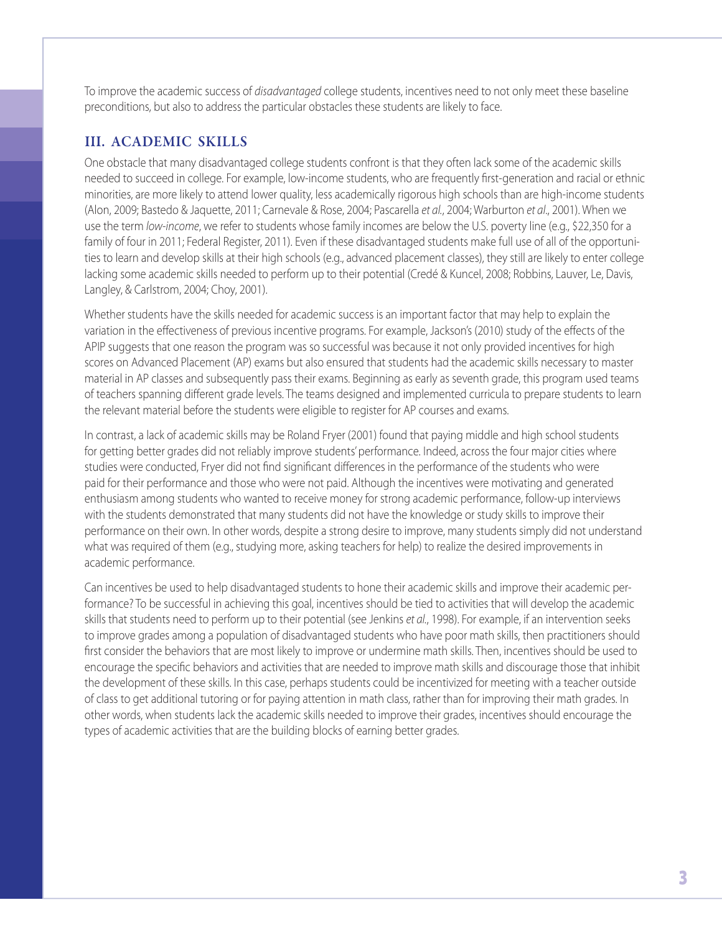To improve the academic success of *disadvantaged* college students, incentives need to not only meet these baseline preconditions, but also to address the particular obstacles these students are likely to face.

## III. ACADEMIC SKILLS

One obstacle that many disadvantaged college students confront is that they often lack some of the academic skills needed to succeed in college. For example, low-income students, who are frequently first-generation and racial or ethnic minorities, are more likely to attend lower quality, less academically rigorous high schools than are high-income students (Alon, 2009; Bastedo & Jaquette, 2011; Carnevale & Rose, 2004; Pascarella *et al.*, 2004; Warburton *et al*., 2001). When we use the term *low-income*, we refer to students whose family incomes are below the U.S. poverty line (e.g., \$22,350 for a family of four in 2011; Federal Register, 2011). Even if these disadvantaged students make full use of all of the opportunities to learn and develop skills at their high schools (e.g., advanced placement classes), they still are likely to enter college lacking some academic skills needed to perform up to their potential (Credé & Kuncel, 2008; Robbins, Lauver, Le, Davis, Langley, & Carlstrom, 2004; Choy, 2001).

Whether students have the skills needed for academic success is an important factor that may help to explain the variation in the effectiveness of previous incentive programs. For example, Jackson's (2010) study of the effects of the APIP suggests that one reason the program was so successful was because it not only provided incentives for high scores on Advanced Placement (AP) exams but also ensured that students had the academic skills necessary to master material in AP classes and subsequently pass their exams. Beginning as early as seventh grade, this program used teams of teachers spanning different grade levels. The teams designed and implemented curricula to prepare students to learn the relevant material before the students were eligible to register for AP courses and exams.

In contrast, a lack of academic skills may be Roland Fryer (2001) found that paying middle and high school students for getting better grades did not reliably improve students' performance. Indeed, across the four major cities where studies were conducted, Fryer did not find significant differences in the performance of the students who were paid for their performance and those who were not paid. Although the incentives were motivating and generated enthusiasm among students who wanted to receive money for strong academic performance, follow-up interviews with the students demonstrated that many students did not have the knowledge or study skills to improve their performance on their own. In other words, despite a strong desire to improve, many students simply did not understand what was required of them (e.g., studying more, asking teachers for help) to realize the desired improvements in academic performance.

Can incentives be used to help disadvantaged students to hone their academic skills and improve their academic performance? To be successful in achieving this goal, incentives should be tied to activities that will develop the academic skills that students need to perform up to their potential (see Jenkins *et al.*, 1998). For example, if an intervention seeks to improve grades among a population of disadvantaged students who have poor math skills, then practitioners should first consider the behaviors that are most likely to improve or undermine math skills. Then, incentives should be used to encourage the specific behaviors and activities that are needed to improve math skills and discourage those that inhibit the development of these skills. In this case, perhaps students could be incentivized for meeting with a teacher outside of class to get additional tutoring or for paying attention in math class, rather than for improving their math grades. In other words, when students lack the academic skills needed to improve their grades, incentives should encourage the types of academic activities that are the building blocks of earning better grades.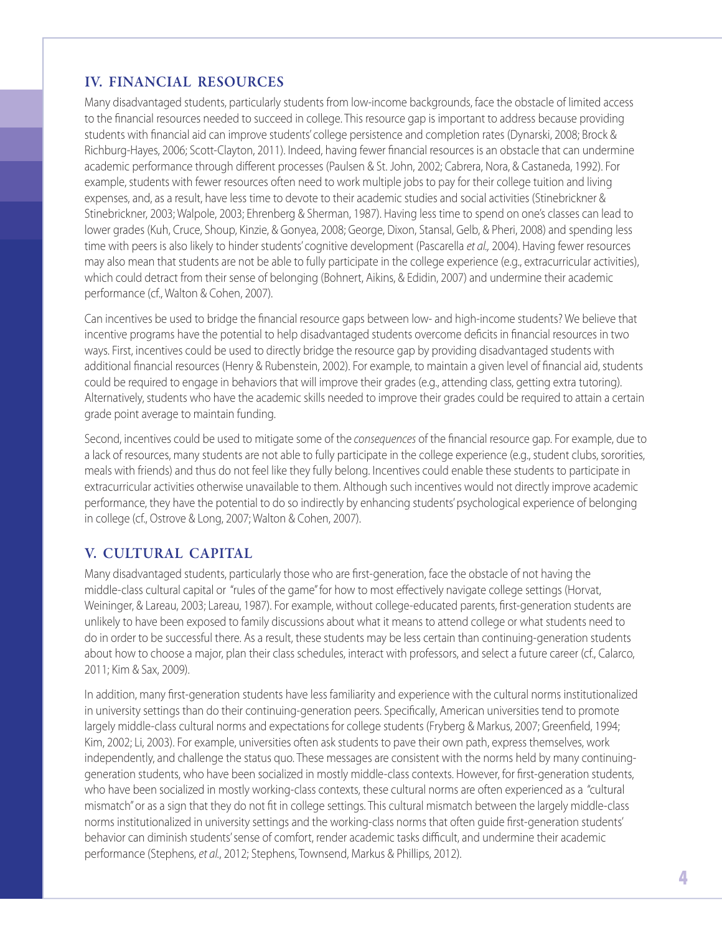# IV. FINANCIAL RESOURCES

Many disadvantaged students, particularly students from low-income backgrounds, face the obstacle of limited access to the financial resources needed to succeed in college. This resource gap is important to address because providing students with financial aid can improve students' college persistence and completion rates (Dynarski, 2008; Brock & Richburg-Hayes, 2006; Scott-Clayton, 2011). Indeed, having fewer financial resources is an obstacle that can undermine academic performance through different processes (Paulsen & St. John, 2002; Cabrera, Nora, & Castaneda, 1992). For example, students with fewer resources often need to work multiple jobs to pay for their college tuition and living expenses, and, as a result, have less time to devote to their academic studies and social activities (Stinebrickner & Stinebrickner, 2003; Walpole, 2003; Ehrenberg & Sherman, 1987). Having less time to spend on one's classes can lead to lower grades (Kuh, Cruce, Shoup, Kinzie, & Gonyea, 2008; George, Dixon, Stansal, Gelb, & Pheri, 2008) and spending less time with peers is also likely to hinder students' cognitive development (Pascarella *et al.,* 2004). Having fewer resources may also mean that students are not be able to fully participate in the college experience (e.g., extracurricular activities), which could detract from their sense of belonging (Bohnert, Aikins, & Edidin, 2007) and undermine their academic performance (cf., Walton & Cohen, 2007).

Can incentives be used to bridge the financial resource gaps between low- and high-income students? We believe that incentive programs have the potential to help disadvantaged students overcome deficits in financial resources in two ways. First, incentives could be used to directly bridge the resource gap by providing disadvantaged students with additional financial resources (Henry & Rubenstein, 2002). For example, to maintain a given level of financial aid, students could be required to engage in behaviors that will improve their grades (e.g., attending class, getting extra tutoring). Alternatively, students who have the academic skills needed to improve their grades could be required to attain a certain grade point average to maintain funding.

Second, incentives could be used to mitigate some of the *consequences* of the financial resource gap. For example, due to a lack of resources, many students are not able to fully participate in the college experience (e.g., student clubs, sororities, meals with friends) and thus do not feel like they fully belong. Incentives could enable these students to participate in extracurricular activities otherwise unavailable to them. Although such incentives would not directly improve academic performance, they have the potential to do so indirectly by enhancing students' psychological experience of belonging in college (cf., Ostrove & Long, 2007; Walton & Cohen, 2007).

# V. CULTURAL CAPITAL

Many disadvantaged students, particularly those who are first-generation, face the obstacle of not having the middle-class cultural capital or "rules of the game" for how to most effectively navigate college settings (Horvat, Weininger, & Lareau, 2003; Lareau, 1987). For example, without college-educated parents, first-generation students are unlikely to have been exposed to family discussions about what it means to attend college or what students need to do in order to be successful there. As a result, these students may be less certain than continuing-generation students about how to choose a major, plan their class schedules, interact with professors, and select a future career (cf., Calarco, 2011; Kim & Sax, 2009).

In addition, many first-generation students have less familiarity and experience with the cultural norms institutionalized in university settings than do their continuing-generation peers. Specifically, American universities tend to promote largely middle-class cultural norms and expectations for college students (Fryberg & Markus, 2007; Greenfield, 1994; Kim, 2002; Li, 2003). For example, universities often ask students to pave their own path, express themselves, work independently, and challenge the status quo. These messages are consistent with the norms held by many continuinggeneration students, who have been socialized in mostly middle-class contexts. However, for first-generation students, who have been socialized in mostly working-class contexts, these cultural norms are often experienced as a "cultural mismatch" or as a sign that they do not fit in college settings. This cultural mismatch between the largely middle-class norms institutionalized in university settings and the working-class norms that often guide first-generation students' behavior can diminish students' sense of comfort, render academic tasks difficult, and undermine their academic performance (Stephens, *et al.*, 2012; Stephens, Townsend, Markus & Phillips, 2012).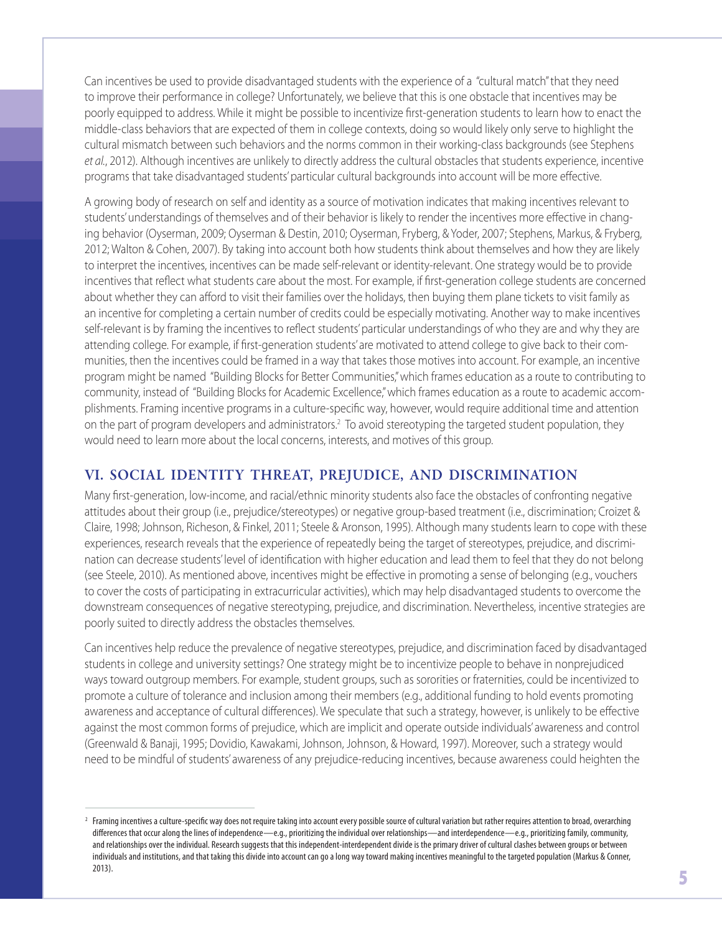Can incentives be used to provide disadvantaged students with the experience of a "cultural match" that they need to improve their performance in college? Unfortunately, we believe that this is one obstacle that incentives may be poorly equipped to address. While it might be possible to incentivize first-generation students to learn how to enact the middle-class behaviors that are expected of them in college contexts, doing so would likely only serve to highlight the cultural mismatch between such behaviors and the norms common in their working-class backgrounds (see Stephens *et al.*, 2012). Although incentives are unlikely to directly address the cultural obstacles that students experience, incentive programs that take disadvantaged students' particular cultural backgrounds into account will be more effective.

A growing body of research on self and identity as a source of motivation indicates that making incentives relevant to students' understandings of themselves and of their behavior is likely to render the incentives more effective in changing behavior (Oyserman, 2009; Oyserman & Destin, 2010; Oyserman, Fryberg, & Yoder, 2007; Stephens, Markus, & Fryberg, 2012; Walton & Cohen, 2007). By taking into account both how students think about themselves and how they are likely to interpret the incentives, incentives can be made self-relevant or identity-relevant. One strategy would be to provide incentives that reflect what students care about the most. For example, if first-generation college students are concerned about whether they can afford to visit their families over the holidays, then buying them plane tickets to visit family as an incentive for completing a certain number of credits could be especially motivating. Another way to make incentives self-relevant is by framing the incentives to reflect students' particular understandings of who they are and why they are attending college. For example, if first-generation students' are motivated to attend college to give back to their communities, then the incentives could be framed in a way that takes those motives into account. For example, an incentive program might be named "Building Blocks for Better Communities," which frames education as a route to contributing to community, instead of "Building Blocks for Academic Excellence," which frames education as a route to academic accomplishments. Framing incentive programs in a culture-specific way, however, would require additional time and attention on the part of program developers and administrators.<sup>2</sup> To avoid stereotyping the targeted student population, they would need to learn more about the local concerns, interests, and motives of this group.

# VI. SOCIAL IDENTITY THREAT, PREJUDICE, AND DISCRIMINATION

Many first-generation, low-income, and racial/ethnic minority students also face the obstacles of confronting negative attitudes about their group (i.e., prejudice/stereotypes) or negative group-based treatment (i.e., discrimination; Croizet & Claire, 1998; Johnson, Richeson, & Finkel, 2011; Steele & Aronson, 1995). Although many students learn to cope with these experiences, research reveals that the experience of repeatedly being the target of stereotypes, prejudice, and discrimination can decrease students' level of identification with higher education and lead them to feel that they do not belong (see Steele, 2010). As mentioned above, incentives might be effective in promoting a sense of belonging (e.g., vouchers to cover the costs of participating in extracurricular activities), which may help disadvantaged students to overcome the downstream consequences of negative stereotyping, prejudice, and discrimination. Nevertheless, incentive strategies are poorly suited to directly address the obstacles themselves.

Can incentives help reduce the prevalence of negative stereotypes, prejudice, and discrimination faced by disadvantaged students in college and university settings? One strategy might be to incentivize people to behave in nonprejudiced ways toward outgroup members. For example, student groups, such as sororities or fraternities, could be incentivized to promote a culture of tolerance and inclusion among their members (e.g., additional funding to hold events promoting awareness and acceptance of cultural differences). We speculate that such a strategy, however, is unlikely to be effective against the most common forms of prejudice, which are implicit and operate outside individuals' awareness and control (Greenwald & Banaji, 1995; Dovidio, Kawakami, Johnson, Johnson, & Howard, 1997). Moreover, such a strategy would need to be mindful of students' awareness of any prejudice-reducing incentives, because awareness could heighten the

 $^2$  Framing incentives a culture-specific way does not require taking into account every possible source of cultural variation but rather requires attention to broad, overarching differences that occur along the lines of independence—e.g., prioritizing the individual over relationships—and interdependence—e.g., prioritizing family, community, and relationships over the individual. Research suggests that this independent-interdependent divide is the primary driver of cultural clashes between groups or between individuals and institutions, and that taking this divide into account can go a long way toward making incentives meaningful to the targeted population (Markus & Conner, 2013).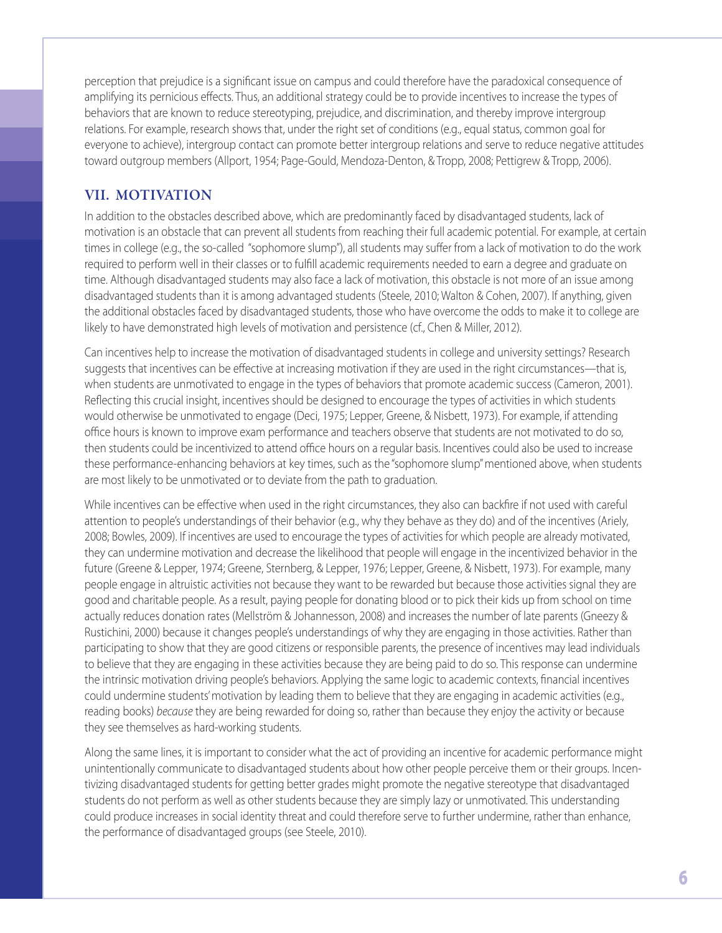perception that prejudice is a significant issue on campus and could therefore have the paradoxical consequence of amplifying its pernicious effects. Thus, an additional strategy could be to provide incentives to increase the types of behaviors that are known to reduce stereotyping, prejudice, and discrimination, and thereby improve intergroup relations. For example, research shows that, under the right set of conditions (e.g., equal status, common goal for everyone to achieve), intergroup contact can promote better intergroup relations and serve to reduce negative attitudes toward outgroup members (Allport, 1954; Page-Gould, Mendoza-Denton, & Tropp, 2008; Pettigrew & Tropp, 2006).

## VII. MOTIVATION

In addition to the obstacles described above, which are predominantly faced by disadvantaged students, lack of motivation is an obstacle that can prevent all students from reaching their full academic potential. For example, at certain times in college (e.g., the so-called "sophomore slump"), all students may suffer from a lack of motivation to do the work required to perform well in their classes or to fulfill academic requirements needed to earn a degree and graduate on time. Although disadvantaged students may also face a lack of motivation, this obstacle is not more of an issue among disadvantaged students than it is among advantaged students (Steele, 2010; Walton & Cohen, 2007). If anything, given the additional obstacles faced by disadvantaged students, those who have overcome the odds to make it to college are likely to have demonstrated high levels of motivation and persistence (cf., Chen & Miller, 2012).

Can incentives help to increase the motivation of disadvantaged students in college and university settings? Research suggests that incentives can be effective at increasing motivation if they are used in the right circumstances—that is, when students are unmotivated to engage in the types of behaviors that promote academic success (Cameron, 2001). Reflecting this crucial insight, incentives should be designed to encourage the types of activities in which students would otherwise be unmotivated to engage (Deci, 1975; Lepper, Greene, & Nisbett, 1973). For example, if attending office hours is known to improve exam performance and teachers observe that students are not motivated to do so, then students could be incentivized to attend office hours on a regular basis. Incentives could also be used to increase these performance-enhancing behaviors at key times, such as the "sophomore slump" mentioned above, when students are most likely to be unmotivated or to deviate from the path to graduation.

While incentives can be effective when used in the right circumstances, they also can backfire if not used with careful attention to people's understandings of their behavior (e.g., why they behave as they do) and of the incentives (Ariely, 2008; Bowles, 2009). If incentives are used to encourage the types of activities for which people are already motivated, they can undermine motivation and decrease the likelihood that people will engage in the incentivized behavior in the future (Greene & Lepper, 1974; Greene, Sternberg, & Lepper, 1976; Lepper, Greene, & Nisbett, 1973). For example, many people engage in altruistic activities not because they want to be rewarded but because those activities signal they are good and charitable people. As a result, paying people for donating blood or to pick their kids up from school on time actually reduces donation rates (Mellström & Johannesson, 2008) and increases the number of late parents (Gneezy & Rustichini, 2000) because it changes people's understandings of why they are engaging in those activities. Rather than participating to show that they are good citizens or responsible parents, the presence of incentives may lead individuals to believe that they are engaging in these activities because they are being paid to do so. This response can undermine the intrinsic motivation driving people's behaviors. Applying the same logic to academic contexts, financial incentives could undermine students' motivation by leading them to believe that they are engaging in academic activities (e.g., reading books) *because* they are being rewarded for doing so, rather than because they enjoy the activity or because they see themselves as hard-working students.

Along the same lines, it is important to consider what the act of providing an incentive for academic performance might unintentionally communicate to disadvantaged students about how other people perceive them or their groups. Incentivizing disadvantaged students for getting better grades might promote the negative stereotype that disadvantaged students do not perform as well as other students because they are simply lazy or unmotivated. This understanding could produce increases in social identity threat and could therefore serve to further undermine, rather than enhance, the performance of disadvantaged groups (see Steele, 2010).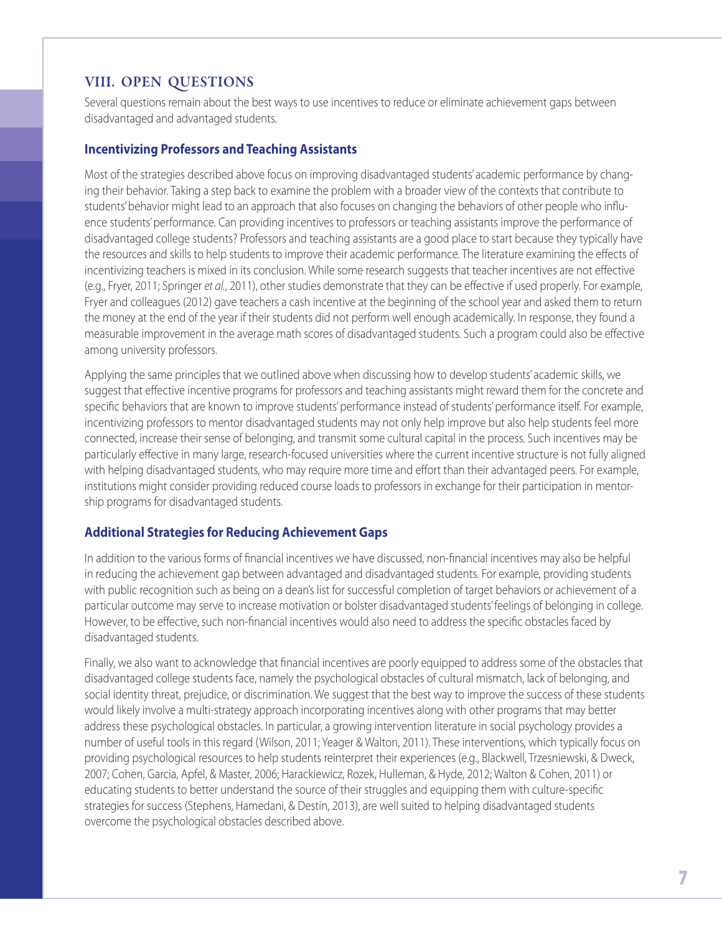# VIII. OPEN QUESTIONS

Several questions remain about the best ways to use incentives to reduce or eliminate achievement gaps between disadvantaged and advantaged students.

#### **Incentivizing Professors and Teaching Assistants**

Most of the strategies described above focus on improving disadvantaged students' academic performance by changing their behavior. Taking a step back to examine the problem with a broader view of the contexts that contribute to students' behavior might lead to an approach that also focuses on changing the behaviors of other people who influence students' performance. Can providing incentives to professors or teaching assistants improve the performance of disadvantaged college students? Professors and teaching assistants are a good place to start because they typically have the resources and skills to help students to improve their academic performance. The literature examining the effects of incentivizing teachers is mixed in its conclusion. While some research suggests that teacher incentives are not effective (e.g., Fryer, 2011; Springer *et al.*, 2011), other studies demonstrate that they can be effective if used properly. For example, Fryer and colleagues (2012) gave teachers a cash incentive at the beginning of the school year and asked them to return the money at the end of the year if their students did not perform well enough academically. In response, they found a measurable improvement in the average math scores of disadvantaged students. Such a program could also be effective among university professors.

Applying the same principles that we outlined above when discussing how to develop students' academic skills, we suggest that effective incentive programs for professors and teaching assistants might reward them for the concrete and specific behaviors that are known to improve students' performance instead of students' performance itself. For example, incentivizing professors to mentor disadvantaged students may not only help improve but also help students feel more connected, increase their sense of belonging, and transmit some cultural capital in the process. Such incentives may be particularly effective in many large, research-focused universities where the current incentive structure is not fully aligned with helping disadvantaged students, who may require more time and effort than their advantaged peers. For example, institutions might consider providing reduced course loads to professors in exchange for their participation in mentorship programs for disadvantaged students.

## **Additional Strategies for Reducing Achievement Gaps**

In addition to the various forms of financial incentives we have discussed, non-financial incentives may also be helpful in reducing the achievement gap between advantaged and disadvantaged students. For example, providing students with public recognition such as being on a dean's list for successful completion of target behaviors or achievement of a particular outcome may serve to increase motivation or bolster disadvantaged students' feelings of belonging in college. However, to be effective, such non-financial incentives would also need to address the specific obstacles faced by disadvantaged students.

Finally, we also want to acknowledge that financial incentives are poorly equipped to address some of the obstacles that disadvantaged college students face, namely the psychological obstacles of cultural mismatch, lack of belonging, and social identity threat, prejudice, or discrimination. We suggest that the best way to improve the success of these students would likely involve a multi-strategy approach incorporating incentives along with other programs that may better address these psychological obstacles. In particular, a growing intervention literature in social psychology provides a number of useful tools in this regard (Wilson, 2011; Yeager & Walton, 2011). These interventions, which typically focus on providing psychological resources to help students reinterpret their experiences (e.g., Blackwell, Trzesniewski, & Dweck, 2007; Cohen, Garcia, Apfel, & Master, 2006; Harackiewicz, Rozek, Hulleman, & Hyde, 2012; Walton & Cohen, 2011) or educating students to better understand the source of their struggles and equipping them with culture-specific strategies for success (Stephens, Hamedani, & Destin, 2013), are well suited to helping disadvantaged students overcome the psychological obstacles described above.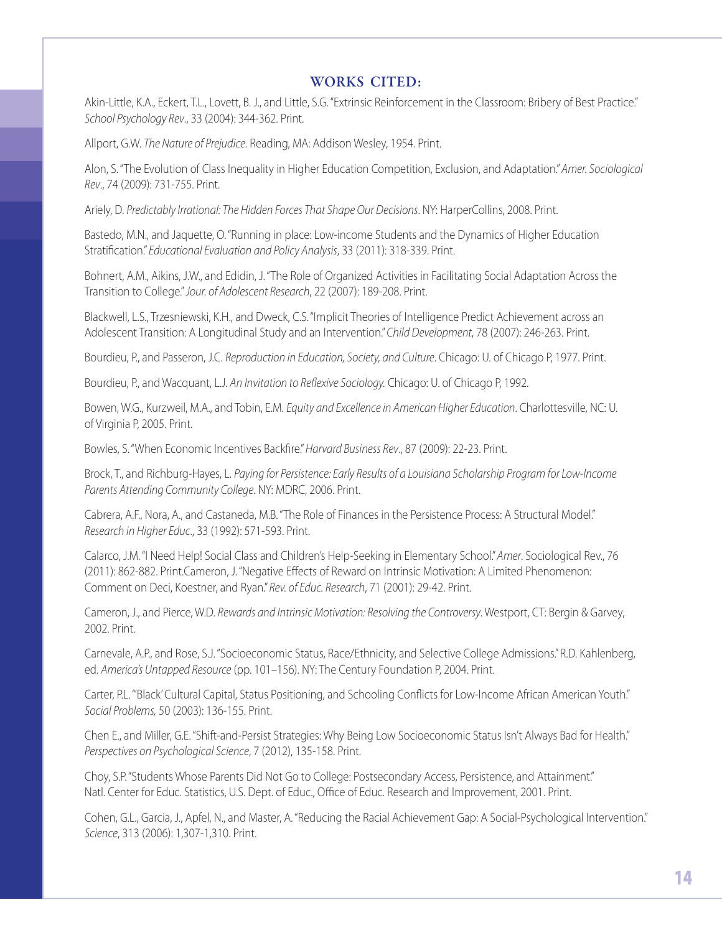## WORKS CITED:

Akin-Little, K.A., Eckert, T.L., Lovett, B. J., and Little, S.G. "Extrinsic Reinforcement in the Classroom: Bribery of Best Practice." *School Psychology Rev*., 33 (2004): 344-362. Print.

Allport, G.W. *The Nature of Prejudice*. Reading, MA: Addison Wesley, 1954. Print.

Alon, S. "The Evolution of Class Inequality in Higher Education Competition, Exclusion, and Adaptation." *Amer. Sociological Rev*., 74 (2009): 731-755. Print.

Ariely, D. *Predictably Irrational: The Hidden Forces That Shape Our Decisions*. NY: HarperCollins, 2008. Print.

Bastedo, M.N., and Jaquette, O. "Running in place: Low-income Students and the Dynamics of Higher Education Stratification." *Educational Evaluation and Policy Analysis*, 33 (2011): 318-339. Print.

Bohnert, A.M., Aikins, J.W., and Edidin, J. "The Role of Organized Activities in Facilitating Social Adaptation Across the Transition to College." *Jour. of Adolescent Research*, 22 (2007): 189-208. Print.

Blackwell, L.S., Trzesniewski, K.H., and Dweck, C.S. "Implicit Theories of Intelligence Predict Achievement across an Adolescent Transition: A Longitudinal Study and an Intervention." *Child Development*, 78 (2007): 246-263. Print.

Bourdieu, P., and Passeron, J.C. *Reproduction in Education, Society, and Culture*. Chicago: U. of Chicago P, 1977. Print.

Bourdieu, P., and Wacquant, L.J. *An Invitation to Reflexive Sociology.* Chicago: U. of Chicago P, 1992.

Bowen, W.G., Kurzweil, M.A., and Tobin, E.M. *Equity and Excellence in American Higher Education*. Charlottesville, NC: U. of Virginia P, 2005. Print.

Bowles, S. "When Economic Incentives Backfire." *Harvard Business Rev*., 87 (2009): 22-23. Print.

Brock, T., and Richburg-Hayes, L. *Paying for Persistence: Early Results of a Louisiana Scholarship Program for Low-Income Parents Attending Community College*. NY: MDRC, 2006. Print.

Cabrera, A.F., Nora, A., and Castaneda, M.B. "The Role of Finances in the Persistence Process: A Structural Model." *Research in Higher Educ*., 33 (1992): 571-593. Print.

Calarco, J.M. "I Need Help! Social Class and Children's Help-Seeking in Elementary School." *Amer*. Sociological Rev., 76 (2011): 862-882. Print.Cameron, J. "Negative Effects of Reward on Intrinsic Motivation: A Limited Phenomenon: Comment on Deci, Koestner, and Ryan." *Rev. of Educ. Research*, 71 (2001): 29-42. Print.

Cameron, J., and Pierce, W.D. *Rewards and Intrinsic Motivation: Resolving the Controversy*. Westport, CT: Bergin & Garvey, 2002. Print.

Carnevale, A.P., and Rose, S.J. "Socioeconomic Status, Race/Ethnicity, and Selective College Admissions." R.D. Kahlenberg, ed. *America's Untapped Resource* (pp. 101–156). NY: The Century Foundation P, 2004. Print.

Carter, P.L. "'Black' Cultural Capital, Status Positioning, and Schooling Conflicts for Low-Income African American Youth." *Social Problems,* 50 (2003): 136-155. Print.

Chen E., and Miller, G.E. "Shift-and-Persist Strategies: Why Being Low Socioeconomic Status Isn't Always Bad for Health." *Perspectives on Psychological Science*, 7 (2012), 135-158. Print.

Choy, S.P. "Students Whose Parents Did Not Go to College: Postsecondary Access, Persistence, and Attainment." Natl. Center for Educ. Statistics, U.S. Dept. of Educ., Office of Educ. Research and Improvement, 2001. Print.

Cohen, G.L., Garcia, J., Apfel, N., and Master, A. "Reducing the Racial Achievement Gap: A Social-Psychological Intervention." *Science*, 313 (2006): 1,307-1,310. Print.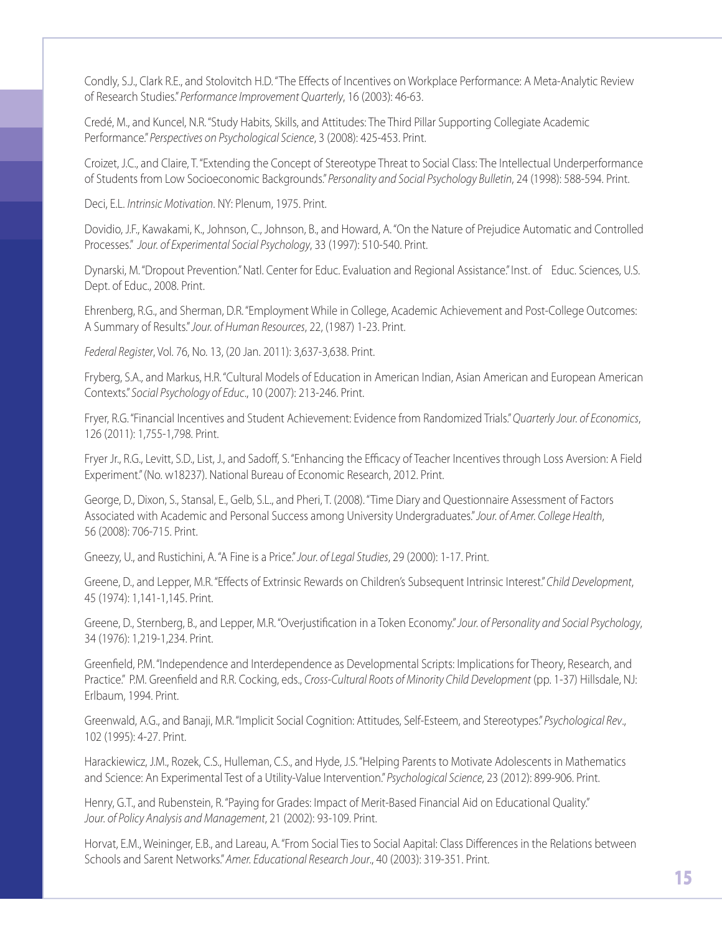Condly, S.J., Clark R.E., and Stolovitch H.D. "The Effects of Incentives on Workplace Performance: A Meta-Analytic Review of Research Studies." *Performance Improvement Quarterly*, 16 (2003): 46-63.

Credé, M., and Kuncel, N.R. "Study Habits, Skills, and Attitudes: The Third Pillar Supporting Collegiate Academic Performance." *Perspectives on Psychological Science*, 3 (2008): 425-453. Print.

Croizet, J.C., and Claire, T. "Extending the Concept of Stereotype Threat to Social Class: The Intellectual Underperformance of Students from Low Socioeconomic Backgrounds." *Personality and Social Psychology Bulletin*, 24 (1998): 588-594. Print.

Deci, E.L. *Intrinsic Motivation*. NY: Plenum, 1975. Print.

Dovidio, J.F., Kawakami, K., Johnson, C., Johnson, B., and Howard, A. "On the Nature of Prejudice Automatic and Controlled Processes." *Jour. of Experimental Social Psychology*, 33 (1997): 510-540. Print.

Dynarski, M. "Dropout Prevention." Natl. Center for Educ. Evaluation and Regional Assistance." Inst. of Educ. Sciences, U.S. Dept. of Educ., 2008. Print.

Ehrenberg, R.G., and Sherman, D.R. "Employment While in College, Academic Achievement and Post-College Outcomes: A Summary of Results." *Jour. of Human Resources*, 22, (1987) 1-23. Print.

*Federal Register*, Vol. 76, No. 13, (20 Jan. 2011): 3,637-3,638. Print.

Fryberg, S.A., and Markus, H.R. "Cultural Models of Education in American Indian, Asian American and European American Contexts." *Social Psychology of Educ*., 10 (2007): 213-246. Print.

Fryer, R.G. "Financial Incentives and Student Achievement: Evidence from Randomized Trials." *Quarterly Jour. of Economics*, 126 (2011): 1,755-1,798. Print.

Fryer Jr., R.G., Levitt, S.D., List, J., and Sadoff, S. "Enhancing the Efficacy of Teacher Incentives through Loss Aversion: A Field Experiment." (No. w18237). National Bureau of Economic Research, 2012. Print.

George, D., Dixon, S., Stansal, E., Gelb, S.L., and Pheri, T. (2008). "Time Diary and Questionnaire Assessment of Factors Associated with Academic and Personal Success among University Undergraduates." *Jour. of Amer. College Health*, 56 (2008): 706-715. Print.

Gneezy, U., and Rustichini, A. "A Fine is a Price." *Jour. of Legal Studies*, 29 (2000): 1-17. Print.

Greene, D., and Lepper, M.R. "Effects of Extrinsic Rewards on Children's Subsequent Intrinsic Interest." *Child Development*, 45 (1974): 1,141-1,145. Print.

Greene, D., Sternberg, B., and Lepper, M.R. "Overjustification in a Token Economy." *Jour. of Personality and Social Psychology*, 34 (1976): 1,219-1,234. Print.

Greenfield, P.M. "Independence and Interdependence as Developmental Scripts: Implications for Theory, Research, and Practice." P.M. Greenfield and R.R. Cocking, eds., *Cross-Cultural Roots of Minority Child Development* (pp. 1-37) Hillsdale, NJ: Erlbaum, 1994. Print.

Greenwald, A.G., and Banaji, M.R. "Implicit Social Cognition: Attitudes, Self-Esteem, and Stereotypes." *Psychological Rev*., 102 (1995): 4-27. Print.

Harackiewicz, J.M., Rozek, C.S., Hulleman, C.S., and Hyde, J.S. "Helping Parents to Motivate Adolescents in Mathematics and Science: An Experimental Test of a Utility-Value Intervention." *Psychological Science*, 23 (2012): 899-906. Print.

Henry, G.T., and Rubenstein, R. "Paying for Grades: Impact of Merit-Based Financial Aid on Educational Quality." *Jour. of Policy Analysis and Management*, 21 (2002): 93-109. Print.

Horvat, E.M., Weininger, E.B., and Lareau, A. "From Social Ties to Social Aapital: Class Differences in the Relations between Schools and Sarent Networks." *Amer. Educational Research Jour*., 40 (2003): 319-351. Print.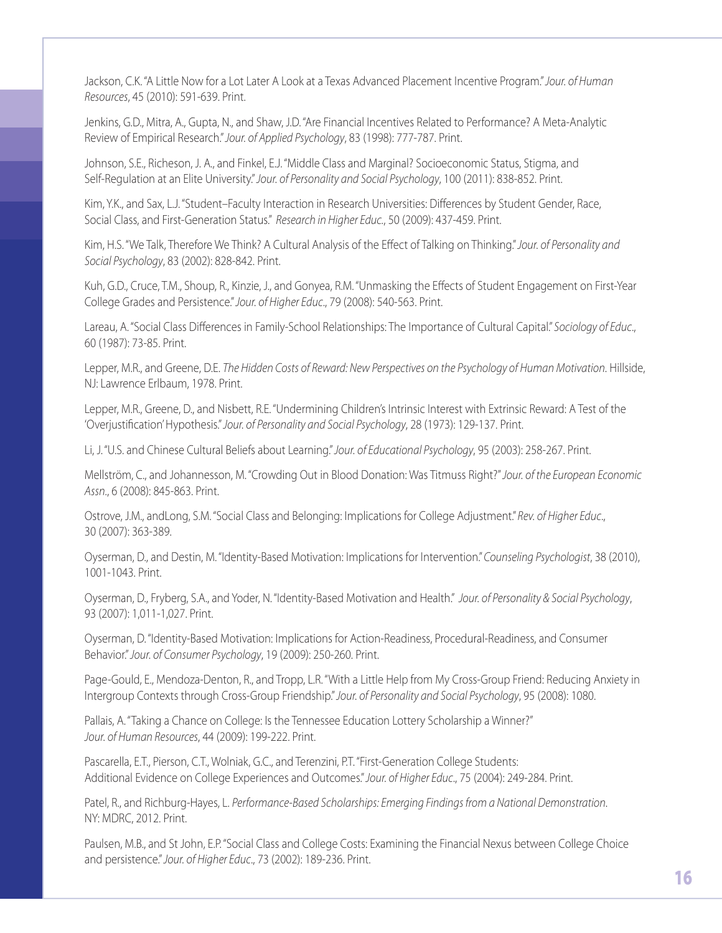Jackson, C.K. "A Little Now for a Lot Later A Look at a Texas Advanced Placement Incentive Program." *Jour. of Human Resources*, 45 (2010): 591-639. Print.

Jenkins, G.D., Mitra, A., Gupta, N., and Shaw, J.D. "Are Financial Incentives Related to Performance? A Meta-Analytic Review of Empirical Research." *Jour. of Applied Psychology*, 83 (1998): 777-787. Print.

Johnson, S.E., Richeson, J. A., and Finkel, E.J. "Middle Class and Marginal? Socioeconomic Status, Stigma, and Self-Regulation at an Elite University." *Jour. of Personality and Social Psychology*, 100 (2011): 838-852. Print.

Kim, Y.K., and Sax, L.J. "Student–Faculty Interaction in Research Universities: Differences by Student Gender, Race, Social Class, and First-Generation Status." *Research in Higher Educ.*, 50 (2009): 437-459. Print.

Kim, H.S. "We Talk, Therefore We Think? A Cultural Analysis of the Effect of Talking on Thinking." *Jour. of Personality and Social Psychology*, 83 (2002): 828-842. Print.

Kuh, G.D., Cruce, T.M., Shoup, R., Kinzie, J., and Gonyea, R.M. "Unmasking the Effects of Student Engagement on First-Year College Grades and Persistence." *Jour. of Higher Educ*., 79 (2008): 540-563. Print.

Lareau, A. "Social Class Differences in Family-School Relationships: The Importance of Cultural Capital." *Sociology of Educ*., 60 (1987): 73-85. Print.

Lepper, M.R., and Greene, D.E. *The Hidden Costs of Reward: New Perspectives on the Psychology of Human Motivation*. Hillside, NJ: Lawrence Erlbaum, 1978. Print.

Lepper, M.R., Greene, D., and Nisbett, R.E. "Undermining Children's Intrinsic Interest with Extrinsic Reward: A Test of the 'Overjustification' Hypothesis." *Jour. of Personality and Social Psychology*, 28 (1973): 129-137. Print.

Li, J. "U.S. and Chinese Cultural Beliefs about Learning." *Jour. of Educational Psychology*, 95 (2003): 258-267. Print.

Mellström, C., and Johannesson, M. "Crowding Out in Blood Donation: Was Titmuss Right?" *Jour. of the European Economic Assn*., 6 (2008): 845-863. Print.

Ostrove, J.M., andLong, S.M. "Social Class and Belonging: Implications for College Adjustment." *Rev. of Higher Educ*., 30 (2007): 363-389.

Oyserman, D., and Destin, M. "Identity-Based Motivation: Implications for Intervention." *Counseling Psychologist*, 38 (2010), 1001-1043. Print.

Oyserman, D., Fryberg, S.A., and Yoder, N. "Identity-Based Motivation and Health." *Jour. of Personality & Social Psychology*, 93 (2007): 1,011-1,027. Print.

Oyserman, D. "Identity-Based Motivation: Implications for Action-Readiness, Procedural-Readiness, and Consumer Behavior." *Jour. of Consumer Psychology*, 19 (2009): 250-260. Print.

Page-Gould, E., Mendoza-Denton, R., and Tropp, L.R. "With a Little Help from My Cross-Group Friend: Reducing Anxiety in Intergroup Contexts through Cross-Group Friendship." *Jour. of Personality and Social Psychology*, 95 (2008): 1080.

Pallais, A. "Taking a Chance on College: Is the Tennessee Education Lottery Scholarship a Winner?" *Jour. of Human Resources*, 44 (2009): 199-222. Print.

Pascarella, E.T., Pierson, C.T., Wolniak, G.C., and Terenzini, P.T. "First-Generation College Students: Additional Evidence on College Experiences and Outcomes." *Jour. of Higher Educ*., 75 (2004): 249-284. Print.

Patel, R., and Richburg-Hayes, L. *Performance-Based Scholarships: Emerging Findings from a National Demonstration*. NY: MDRC, 2012. Print.

Paulsen, M.B., and St John, E.P. "Social Class and College Costs: Examining the Financial Nexus between College Choice and persistence." *Jour. of Higher Educ*., 73 (2002): 189-236. Print.